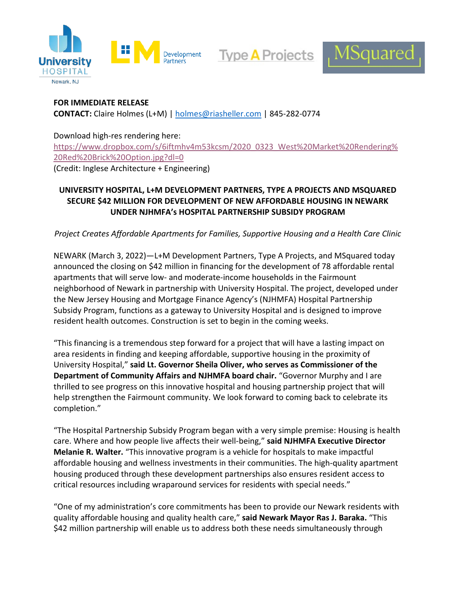

**Type A Projects** 



## **FOR IMMEDIATE RELEASE**

**CONTACT:** Claire Holmes (L+M) | [holmes@riasheller.com](mailto:holmes@riasheller.com) | 845-282-0774

## Download high-res rendering here:

[https://www.dropbox.com/s/6iftmhv4m53kcsm/2020\\_0323\\_West%20Market%20Rendering%](https://www.dropbox.com/s/6iftmhv4m53kcsm/2020_0323_West%20Market%20Rendering%20Red%20Brick%20Option.jpg?dl=0) [20Red%20Brick%20Option.jpg?dl=0](https://www.dropbox.com/s/6iftmhv4m53kcsm/2020_0323_West%20Market%20Rendering%20Red%20Brick%20Option.jpg?dl=0)

(Credit: Inglese Architecture + Engineering)

# **UNIVERSITY HOSPITAL, L+M DEVELOPMENT PARTNERS, TYPE A PROJECTS AND MSQUARED SECURE \$42 MILLION FOR DEVELOPMENT OF NEW AFFORDABLE HOUSING IN NEWARK UNDER NJHMFA's HOSPITAL PARTNERSHIP SUBSIDY PROGRAM**

*Project Creates Affordable Apartments for Families, Supportive Housing and a Health Care Clinic*

NEWARK (March 3, 2022)—L+M Development Partners, Type A Projects, and MSquared today announced the closing on \$42 million in financing for the development of 78 affordable rental apartments that will serve low- and moderate-income households in the Fairmount neighborhood of Newark in partnership with University Hospital. The project, developed under the New Jersey Housing and Mortgage Finance Agency's (NJHMFA) Hospital Partnership Subsidy Program, functions as a gateway to University Hospital and is designed to improve resident health outcomes. Construction is set to begin in the coming weeks.

"This financing is a tremendous step forward for a project that will have a lasting impact on area residents in finding and keeping affordable, supportive housing in the proximity of University Hospital," **said Lt. Governor Sheila Oliver, who serves as Commissioner of the Department of Community Affairs and NJHMFA board chair.** "Governor Murphy and I are thrilled to see progress on this innovative hospital and housing partnership project that will help strengthen the Fairmount community. We look forward to coming back to celebrate its completion."

"The Hospital Partnership Subsidy Program began with a very simple premise: Housing is health care. Where and how people live affects their well-being," **said NJHMFA Executive Director Melanie R. Walter.** "This innovative program is a vehicle for hospitals to make impactful affordable housing and wellness investments in their communities. The high-quality apartment housing produced through these development partnerships also ensures resident access to critical resources including wraparound services for residents with special needs."

"One of my administration's core commitments has been to provide our Newark residents with quality affordable housing and quality health care," **said Newark Mayor Ras J. Baraka.** "This \$42 million partnership will enable us to address both these needs simultaneously through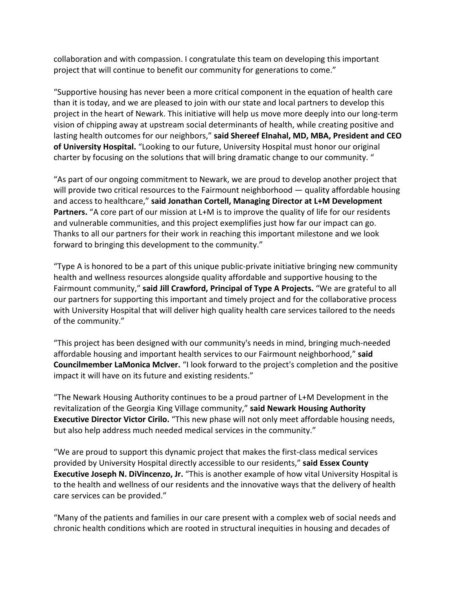collaboration and with compassion. I congratulate this team on developing this important project that will continue to benefit our community for generations to come."

"Supportive housing has never been a more critical component in the equation of health care than it is today, and we are pleased to join with our state and local partners to develop this project in the heart of Newark. This initiative will help us move more deeply into our long-term vision of chipping away at upstream social determinants of health, while creating positive and lasting health outcomes for our neighbors," **said Shereef Elnahal, MD, MBA, President and CEO of University Hospital.** "Looking to our future, University Hospital must honor our original charter by focusing on the solutions that will bring dramatic change to our community. "

"As part of our ongoing commitment to Newark, we are proud to develop another project that will provide two critical resources to the Fairmount neighborhood — quality affordable housing and access to healthcare," **said Jonathan Cortell, Managing Director at L+M Development Partners.** "A core part of our mission at L+M is to improve the quality of life for our residents and vulnerable communities, and this project exemplifies just how far our impact can go. Thanks to all our partners for their work in reaching this important milestone and we look forward to bringing this development to the community."

"Type A is honored to be a part of this unique public-private initiative bringing new community health and wellness resources alongside quality affordable and supportive housing to the Fairmount community," **said Jill Crawford, Principal of Type A Projects.** "We are grateful to all our partners for supporting this important and timely project and for the collaborative process with University Hospital that will deliver high quality health care services tailored to the needs of the community."

"This project has been designed with our community's needs in mind, bringing much-needed affordable housing and important health services to our Fairmount neighborhood," **said Councilmember LaMonica McIver.** "I look forward to the project's completion and the positive impact it will have on its future and existing residents."

"The Newark Housing Authority continues to be a proud partner of L+M Development in the revitalization of the Georgia King Village community," **said Newark Housing Authority Executive Director Victor Cirilo.** "This new phase will not only meet affordable housing needs, but also help address much needed medical services in the community."

"We are proud to support this dynamic project that makes the first-class medical services provided by University Hospital directly accessible to our residents," **said Essex County Executive Joseph N. DiVincenzo, Jr.** "This is another example of how vital University Hospital is to the health and wellness of our residents and the innovative ways that the delivery of health care services can be provided."

"Many of the patients and families in our care present with a complex web of social needs and chronic health conditions which are rooted in structural inequities in housing and decades of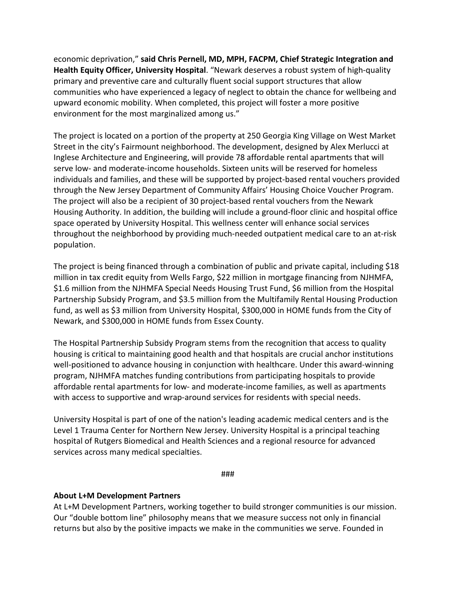economic deprivation," **said Chris Pernell, MD, MPH, FACPM, Chief Strategic Integration and Health Equity Officer, University Hospital**. "Newark deserves a robust system of high-quality primary and preventive care and culturally fluent social support structures that allow communities who have experienced a legacy of neglect to obtain the chance for wellbeing and upward economic mobility. When completed, this project will foster a more positive environment for the most marginalized among us."

The project is located on a portion of the property at 250 Georgia King Village on West Market Street in the city's Fairmount neighborhood. The development, designed by Alex Merlucci at Inglese Architecture and Engineering, will provide 78 affordable rental apartments that will serve low- and moderate-income households. Sixteen units will be reserved for homeless individuals and families, and these will be supported by project-based rental vouchers provided through the New Jersey Department of Community Affairs' Housing Choice Voucher Program. The project will also be a recipient of 30 project-based rental vouchers from the Newark Housing Authority. In addition, the building will include a ground-floor clinic and hospital office space operated by University Hospital. This wellness center will enhance social services throughout the neighborhood by providing much-needed outpatient medical care to an at-risk population.

The project is being financed through a combination of public and private capital, including \$18 million in tax credit equity from Wells Fargo, \$22 million in mortgage financing from NJHMFA, \$1.6 million from the NJHMFA Special Needs Housing Trust Fund, \$6 million from the Hospital Partnership Subsidy Program, and \$3.5 million from the Multifamily Rental Housing Production fund, as well as \$3 million from University Hospital, \$300,000 in HOME funds from the City of Newark, and \$300,000 in HOME funds from Essex County.

The Hospital Partnership Subsidy Program stems from the recognition that access to quality housing is critical to maintaining good health and that hospitals are crucial anchor institutions well-positioned to advance housing in conjunction with healthcare. Under this award-winning program, NJHMFA matches funding contributions from participating hospitals to provide affordable rental apartments for low- and moderate-income families, as well as apartments with access to supportive and wrap-around services for residents with special needs.

University Hospital is part of one of the nation's leading academic medical centers and is the Level 1 Trauma Center for Northern New Jersey. University Hospital is a principal teaching hospital of Rutgers Biomedical and Health Sciences and a regional resource for advanced services across many medical specialties.

###

#### **About L+M Development Partners**

At L+M Development Partners, working together to build stronger communities is our mission. Our "double bottom line" philosophy means that we measure success not only in financial returns but also by the positive impacts we make in the communities we serve. Founded in